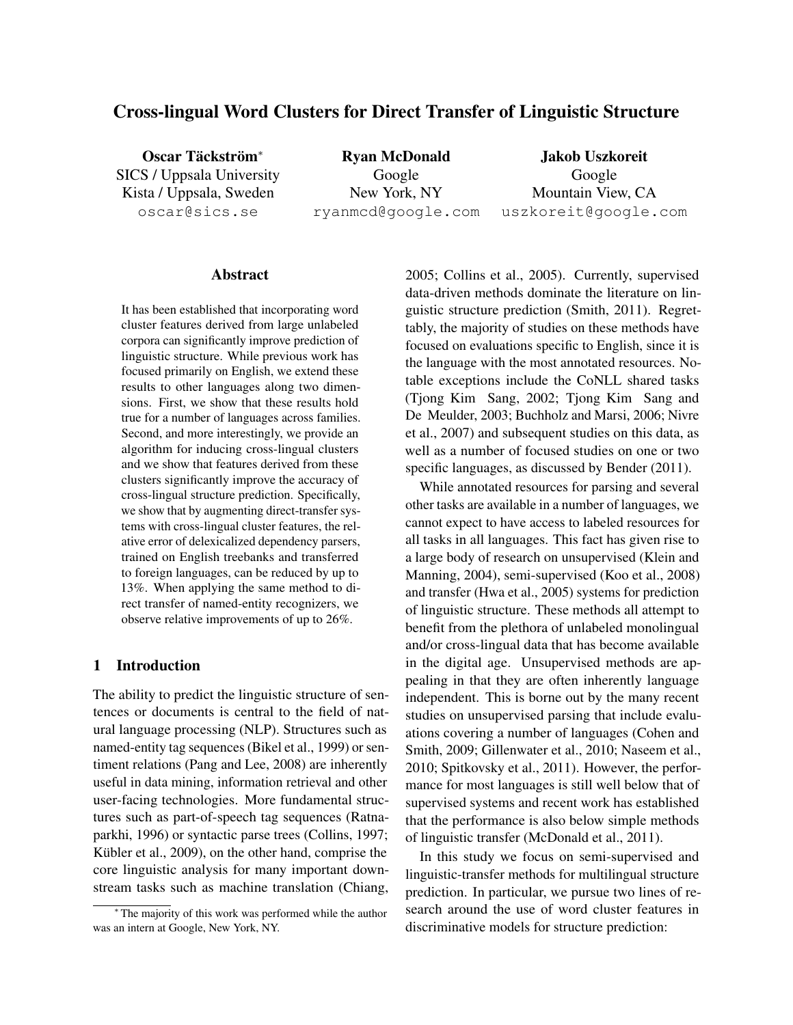# Cross-lingual Word Clusters for Direct Transfer of Linguistic Structure

Oscar Täckström<sup>\*</sup> SICS / Uppsala University Kista / Uppsala, Sweden oscar@sics.se

Ryan McDonald Google New York, NY ryanmcd@google.com

Jakob Uszkoreit Google Mountain View, CA uszkoreit@google.com

#### Abstract

It has been established that incorporating word cluster features derived from large unlabeled corpora can significantly improve prediction of linguistic structure. While previous work has focused primarily on English, we extend these results to other languages along two dimensions. First, we show that these results hold true for a number of languages across families. Second, and more interestingly, we provide an algorithm for inducing cross-lingual clusters and we show that features derived from these clusters significantly improve the accuracy of cross-lingual structure prediction. Specifically, we show that by augmenting direct-transfer systems with cross-lingual cluster features, the relative error of delexicalized dependency parsers, trained on English treebanks and transferred to foreign languages, can be reduced by up to 13%. When applying the same method to direct transfer of named-entity recognizers, we observe relative improvements of up to 26%.

## 1 Introduction

The ability to predict the linguistic structure of sentences or documents is central to the field of natural language processing (NLP). Structures such as named-entity tag sequences (Bikel et al., 1999) or sentiment relations (Pang and Lee, 2008) are inherently useful in data mining, information retrieval and other user-facing technologies. More fundamental structures such as part-of-speech tag sequences (Ratnaparkhi, 1996) or syntactic parse trees (Collins, 1997; Kübler et al., 2009), on the other hand, comprise the core linguistic analysis for many important downstream tasks such as machine translation (Chiang, 2005; Collins et al., 2005). Currently, supervised data-driven methods dominate the literature on linguistic structure prediction (Smith, 2011). Regrettably, the majority of studies on these methods have focused on evaluations specific to English, since it is the language with the most annotated resources. Notable exceptions include the CoNLL shared tasks (Tjong Kim Sang, 2002; Tjong Kim Sang and De Meulder, 2003; Buchholz and Marsi, 2006; Nivre et al., 2007) and subsequent studies on this data, as well as a number of focused studies on one or two specific languages, as discussed by Bender (2011).

While annotated resources for parsing and several other tasks are available in a number of languages, we cannot expect to have access to labeled resources for all tasks in all languages. This fact has given rise to a large body of research on unsupervised (Klein and Manning, 2004), semi-supervised (Koo et al., 2008) and transfer (Hwa et al., 2005) systems for prediction of linguistic structure. These methods all attempt to benefit from the plethora of unlabeled monolingual and/or cross-lingual data that has become available in the digital age. Unsupervised methods are appealing in that they are often inherently language independent. This is borne out by the many recent studies on unsupervised parsing that include evaluations covering a number of languages (Cohen and Smith, 2009; Gillenwater et al., 2010; Naseem et al., 2010; Spitkovsky et al., 2011). However, the performance for most languages is still well below that of supervised systems and recent work has established that the performance is also below simple methods of linguistic transfer (McDonald et al., 2011).

In this study we focus on semi-supervised and linguistic-transfer methods for multilingual structure prediction. In particular, we pursue two lines of research around the use of word cluster features in discriminative models for structure prediction:

<sup>∗</sup> The majority of this work was performed while the author was an intern at Google, New York, NY.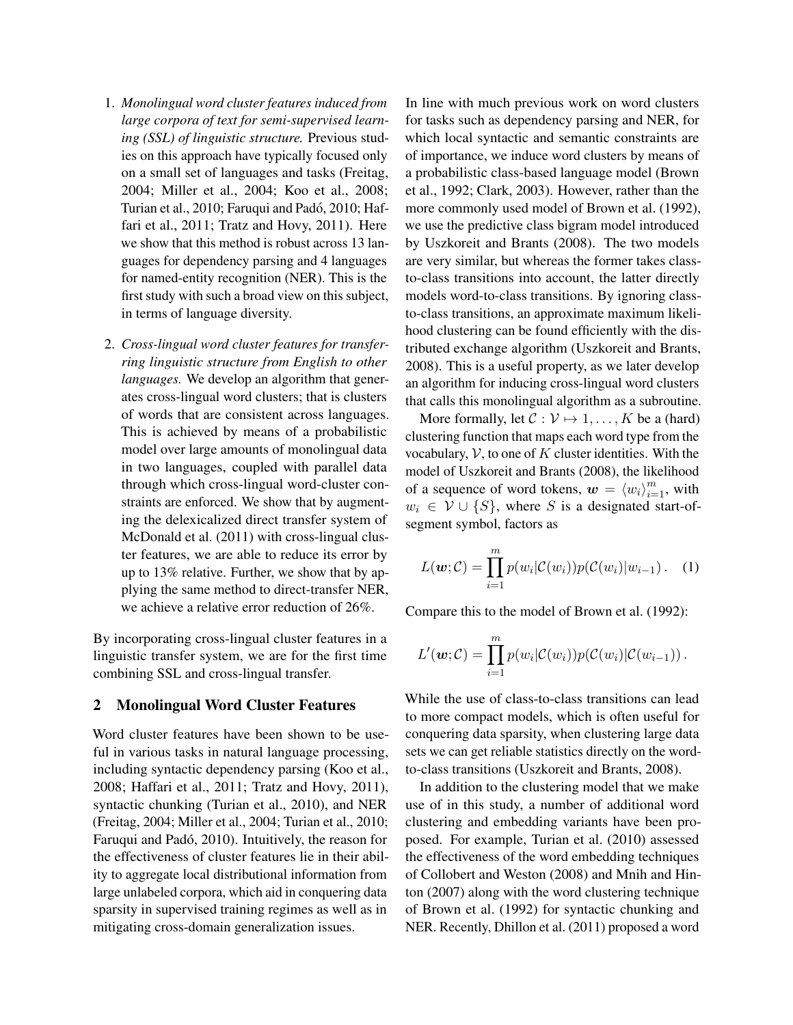- 1. *Monolingual word cluster features induced from large corpora of text for semi-supervised learning (SSL) of linguistic structure.* Previous studies on this approach have typically focused only on a small set of languages and tasks (Freitag, 2004; Miller et al., 2004; Koo et al., 2008; Turian et al., 2010; Faruqui and Padó, 2010; Haffari et al., 2011; Tratz and Hovy, 2011). Here we show that this method is robust across 13 languages for dependency parsing and 4 languages for named-entity recognition (NER). This is the first study with such a broad view on this subject, in terms of language diversity.
- 2. *Cross-lingual word cluster features for transferring linguistic structure from English to other languages.* We develop an algorithm that generates cross-lingual word clusters; that is clusters of words that are consistent across languages. This is achieved by means of a probabilistic model over large amounts of monolingual data in two languages, coupled with parallel data through which cross-lingual word-cluster constraints are enforced. We show that by augmenting the delexicalized direct transfer system of McDonald et al. (2011) with cross-lingual cluster features, we are able to reduce its error by up to 13% relative. Further, we show that by applying the same method to direct-transfer NER, we achieve a relative error reduction of 26%.

By incorporating cross-lingual cluster features in a linguistic transfer system, we are for the first time combining SSL and cross-lingual transfer.

## 2 Monolingual Word Cluster Features

Word cluster features have been shown to be useful in various tasks in natural language processing, including syntactic dependency parsing (Koo et al., 2008; Haffari et al., 2011; Tratz and Hovy, 2011), syntactic chunking (Turian et al., 2010), and NER (Freitag, 2004; Miller et al., 2004; Turian et al., 2010; Faruqui and Padó, 2010). Intuitively, the reason for the effectiveness of cluster features lie in their ability to aggregate local distributional information from large unlabeled corpora, which aid in conquering data sparsity in supervised training regimes as well as in mitigating cross-domain generalization issues.

In line with much previous work on word clusters for tasks such as dependency parsing and NER, for which local syntactic and semantic constraints are of importance, we induce word clusters by means of a probabilistic class-based language model (Brown et al., 1992; Clark, 2003). However, rather than the more commonly used model of Brown et al. (1992), we use the predictive class bigram model introduced by Uszkoreit and Brants (2008). The two models are very similar, but whereas the former takes classto-class transitions into account, the latter directly models word-to-class transitions. By ignoring classto-class transitions, an approximate maximum likelihood clustering can be found efficiently with the distributed exchange algorithm (Uszkoreit and Brants, 2008). This is a useful property, as we later develop an algorithm for inducing cross-lingual word clusters that calls this monolingual algorithm as a subroutine.

More formally, let  $C : \mathcal{V} \mapsto 1, \ldots, K$  be a (hard) clustering function that maps each word type from the vocabulary,  $\mathcal V$ , to one of K cluster identities. With the model of Uszkoreit and Brants (2008), the likelihood of a sequence of word tokens,  $\mathbf{w} = \langle w_i \rangle_{i=1}^m$ , with  $w_i \in V \cup \{S\}$ , where S is a designated start-ofsegment symbol, factors as

$$
L(\boldsymbol{w}; \mathcal{C}) = \prod_{i=1}^{m} p(w_i | \mathcal{C}(w_i)) p(\mathcal{C}(w_i) | w_{i-1}). \quad (1)
$$

Compare this to the model of Brown et al. (1992):

$$
L'(\boldsymbol{w};\mathcal{C})=\prod_{i=1}^m p(w_i|\mathcal{C}(w_i))p(\mathcal{C}(w_i)|\mathcal{C}(w_{i-1})).
$$

While the use of class-to-class transitions can lead to more compact models, which is often useful for conquering data sparsity, when clustering large data sets we can get reliable statistics directly on the wordto-class transitions (Uszkoreit and Brants, 2008).

In addition to the clustering model that we make use of in this study, a number of additional word clustering and embedding variants have been proposed. For example, Turian et al. (2010) assessed the effectiveness of the word embedding techniques of Collobert and Weston (2008) and Mnih and Hinton (2007) along with the word clustering technique of Brown et al. (1992) for syntactic chunking and NER. Recently, Dhillon et al. (2011) proposed a word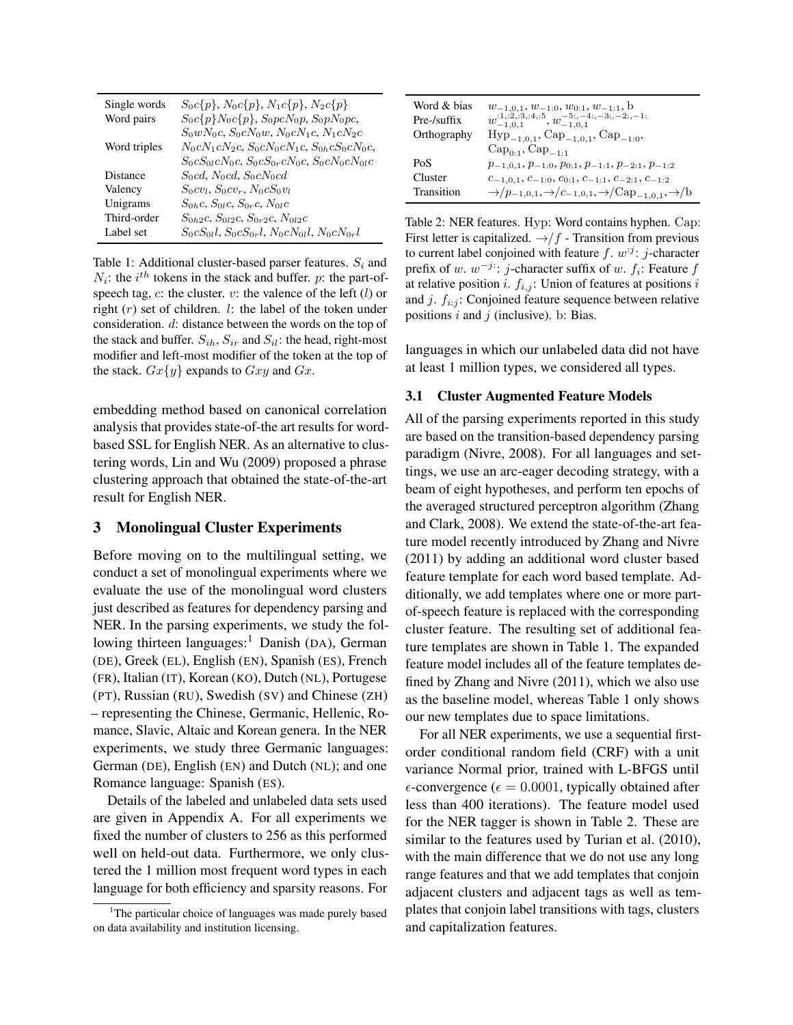| Single words | $S_0c\{p\}, N_0c\{p\}, N_1c\{p\}, N_2c\{p\}$                  |
|--------------|---------------------------------------------------------------|
| Word pairs   | $S_0c\{p\}N_0c\{p\}, S_0pcN_0p, S_0pN_0pc,$                   |
|              | $S_0 w N_0 c$ , $S_0 c N_0 w$ , $N_0 c N_1 c$ , $N_1 c N_2 c$ |
| Word triples | $N_0cN_1cN_2c$ , $S_0cN_0cN_1c$ , $S_{0h}cS_0cN_0c$ ,         |
|              | $S_0cS_0cN_0c$ , $S_0cS_0cN_0c$ , $S_0cN_0cN_0c$              |
| Distance     | $S_0cd$ , $N_0cd$ , $S_0cN_0cd$                               |
| Valency      | $S_0cv_l$ , $S_0cv_r$ , $N_0cS_0v_l$                          |
| Unigrams     | $S_{0h}c$ , $S_{0l}c$ , $S_{0r}c$ , $N_{0l}c$                 |
| Third-order  | $S_{0h2}c$ , $S_{0l2}c$ , $S_{0r2}c$ , $N_{0l2}c$             |
| Label set    | $S_0cS_0l$ , $S_0cS_0r$ , $N_0cN_0l$ , $N_0cN_0r$             |

Table 1: Additional cluster-based parser features.  $S_i$  and  $N_i$ : the  $i^{th}$  tokens in the stack and buffer. p: the part-ofspeech tag,  $c$ : the cluster.  $v$ : the valence of the left  $(l)$  or right  $(r)$  set of children. l: the label of the token under consideration. d: distance between the words on the top of the stack and buffer.  $S_{ih}$ ,  $S_{ir}$  and  $S_{il}$ : the head, right-most modifier and left-most modifier of the token at the top of the stack.  $Gx\{y\}$  expands to  $Gxy$  and  $Gx$ .

embedding method based on canonical correlation analysis that provides state-of-the art results for wordbased SSL for English NER. As an alternative to clustering words, Lin and Wu (2009) proposed a phrase clustering approach that obtained the state-of-the-art result for English NER.

## 3 Monolingual Cluster Experiments

Before moving on to the multilingual setting, we conduct a set of monolingual experiments where we evaluate the use of the monolingual word clusters just described as features for dependency parsing and NER. In the parsing experiments, we study the following thirteen languages:<sup>1</sup> Danish (DA), German (DE), Greek (EL), English (EN), Spanish (ES), French (FR), Italian (IT), Korean (KO), Dutch (NL), Portugese (PT), Russian (RU), Swedish (SV) and Chinese (ZH) – representing the Chinese, Germanic, Hellenic, Romance, Slavic, Altaic and Korean genera. In the NER experiments, we study three Germanic languages: German (DE), English (EN) and Dutch (NL); and one Romance language: Spanish (ES).

Details of the labeled and unlabeled data sets used are given in Appendix A. For all experiments we fixed the number of clusters to 256 as this performed well on held-out data. Furthermore, we only clustered the 1 million most frequent word types in each language for both efficiency and sparsity reasons. For

| Word & bias       | $w_{-1,0,1}, w_{-1:0}, w_{0:1}, w_{-1:1}, b$                                                                                      |
|-------------------|-----------------------------------------------------------------------------------------------------------------------------------|
| Pre-/suffix       | $w_{-1,0,1}^{:1,:2,:3,:4,:5}, w_{-1,0,1}^{-5:-4:,-3:,-2:,-1:}$                                                                    |
| Orthography       | $Hyp_{-1,0,1}$ , Cap <sub>-1.0.1</sub> , Cap <sub>-1.0</sub> ,                                                                    |
|                   | $Cap_{0:1}$ , $Cap_{-1:1}$                                                                                                        |
| PoS               | $p_{-1,0,1}, p_{-1:0}, p_{0:1}, p_{-1:1}, p_{-2:1}, p_{-1:2}$                                                                     |
| Cluster           | $C-1,0,1$ , $C-1:0$ , $C0:1$ , $C-1:1$ , $C-2:1$ , $C-1:2$                                                                        |
| <b>Transition</b> | $\rightarrow$ /p <sub>-1,0,1</sub> , $\rightarrow$ /c <sub>-1,0,1</sub> , $\rightarrow$ /Cap <sub>-1,0,1</sub> , $\rightarrow$ /b |

Table 2: NER features. Hyp: Word contains hyphen. Cap: First letter is capitalized.  $\rightarrow$   $/f$  - Transition from previous to current label conjoined with feature  $f$ .  $w^{j}$ : j-character prefix of w.  $w^{-j}$ : j-character suffix of w.  $f_i$ : Feature  $f$ at relative position i.  $f_{i,j}$ : Union of features at positions i and j.  $f_{i:j}$ : Conjoined feature sequence between relative positions  $i$  and  $j$  (inclusive). b: Bias.

languages in which our unlabeled data did not have at least 1 million types, we considered all types.

#### 3.1 Cluster Augmented Feature Models

All of the parsing experiments reported in this study are based on the transition-based dependency parsing paradigm (Nivre, 2008). For all languages and settings, we use an arc-eager decoding strategy, with a beam of eight hypotheses, and perform ten epochs of the averaged structured perceptron algorithm (Zhang and Clark, 2008). We extend the state-of-the-art feature model recently introduced by Zhang and Nivre (2011) by adding an additional word cluster based feature template for each word based template. Additionally, we add templates where one or more partof-speech feature is replaced with the corresponding cluster feature. The resulting set of additional feature templates are shown in Table 1. The expanded feature model includes all of the feature templates defined by Zhang and Nivre (2011), which we also use as the baseline model, whereas Table 1 only shows our new templates due to space limitations.

For all NER experiments, we use a sequential firstorder conditional random field (CRF) with a unit variance Normal prior, trained with L-BFGS until  $\epsilon$ -convergence ( $\epsilon = 0.0001$ , typically obtained after less than 400 iterations). The feature model used for the NER tagger is shown in Table 2. These are similar to the features used by Turian et al. (2010), with the main difference that we do not use any long range features and that we add templates that conjoin adjacent clusters and adjacent tags as well as templates that conjoin label transitions with tags, clusters and capitalization features.

<sup>&</sup>lt;sup>1</sup>The particular choice of languages was made purely based on data availability and institution licensing.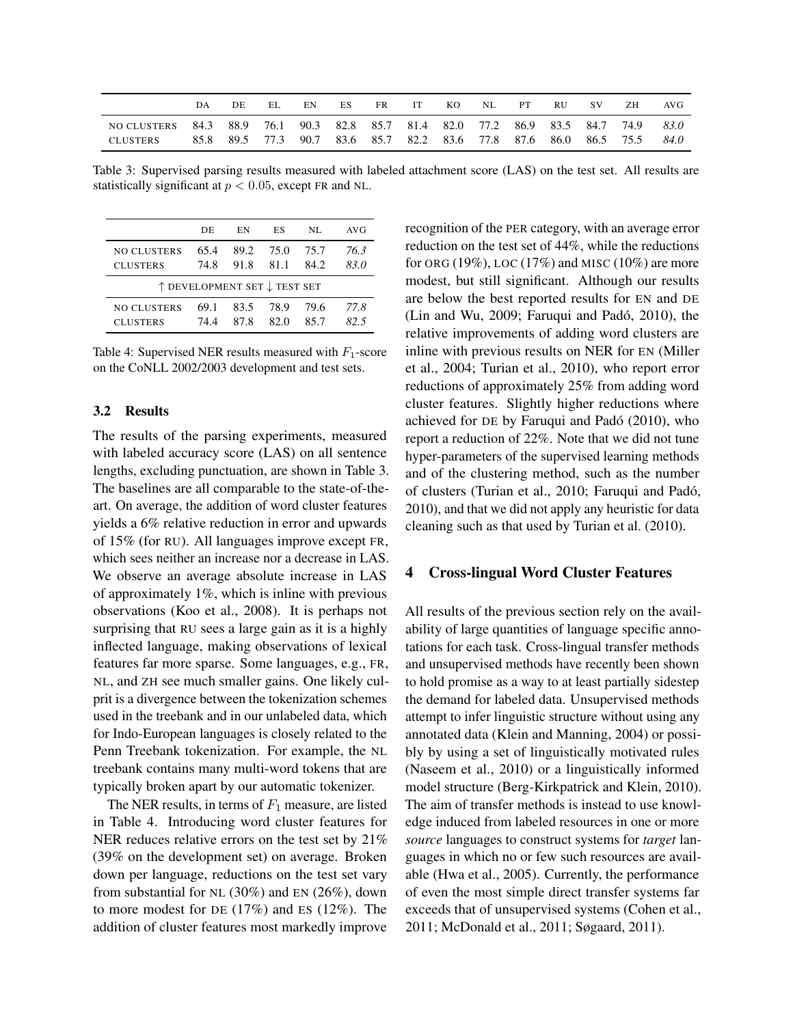|                                | DА           | DE.  | EL.       | EN | ES. | FR. | IT                                                                            | KO | NL | РT | <b>RU</b> | -SV                              | ZH | AVG          |
|--------------------------------|--------------|------|-----------|----|-----|-----|-------------------------------------------------------------------------------|----|----|----|-----------|----------------------------------|----|--------------|
| NO CLUSTERS<br><b>CLUSTERS</b> | 84.3<br>85.8 | 88.9 | 89.5 77.3 |    |     |     | 76.1 90.3 82.8 85.7 81.4 82.0 77.2<br>90.7 83.6 85.7 82.2 83.6 77.8 87.6 86.0 |    |    |    |           | 86.9 83.5 84.7 74.9<br>86.5 75.5 |    | 83.0<br>84.0 |

Table 3: Supervised parsing results measured with labeled attachment score (LAS) on the test set. All results are statistically significant at  $p < 0.05$ , except FR and NL.

|                    | DE                           | EN   | ES   | NL.  | AVG  |
|--------------------|------------------------------|------|------|------|------|
| <b>NO CLUSTERS</b> | 65.4                         | 89.2 | 75.0 | 75.7 | 76.3 |
| <b>CLUSTERS</b>    | 74.8                         | 91.8 | 81.1 | 84.2 | 83.0 |
|                    | ↑ DEVELOPMENT SET ↓ TEST SET |      |      |      |      |
| <b>NO CLUSTERS</b> | 69.1                         | 83.5 | 78.9 | 79.6 | 77.8 |
| <b>CLUSTERS</b>    | 74 4                         | 87 8 | 82 O | 857  | 82.5 |

Table 4: Supervised NER results measured with  $F_1$ -score on the CoNLL 2002/2003 development and test sets.

## 3.2 Results

The results of the parsing experiments, measured with labeled accuracy score (LAS) on all sentence lengths, excluding punctuation, are shown in Table 3. The baselines are all comparable to the state-of-theart. On average, the addition of word cluster features yields a 6% relative reduction in error and upwards of 15% (for RU). All languages improve except FR, which sees neither an increase nor a decrease in LAS. We observe an average absolute increase in LAS of approximately 1%, which is inline with previous observations (Koo et al., 2008). It is perhaps not surprising that RU sees a large gain as it is a highly inflected language, making observations of lexical features far more sparse. Some languages, e.g., FR, NL, and ZH see much smaller gains. One likely culprit is a divergence between the tokenization schemes used in the treebank and in our unlabeled data, which for Indo-European languages is closely related to the Penn Treebank tokenization. For example, the NL treebank contains many multi-word tokens that are typically broken apart by our automatic tokenizer.

The NER results, in terms of  $F_1$  measure, are listed in Table 4. Introducing word cluster features for NER reduces relative errors on the test set by 21% (39% on the development set) on average. Broken down per language, reductions on the test set vary from substantial for NL (30%) and EN (26%), down to more modest for DE (17%) and ES (12%). The addition of cluster features most markedly improve

recognition of the PER category, with an average error reduction on the test set of 44%, while the reductions for ORG (19%), LOC (17%) and MISC (10%) are more modest, but still significant. Although our results are below the best reported results for EN and DE (Lin and Wu, 2009; Faruqui and Padó, 2010), the relative improvements of adding word clusters are inline with previous results on NER for EN (Miller et al., 2004; Turian et al., 2010), who report error reductions of approximately 25% from adding word cluster features. Slightly higher reductions where achieved for DE by Faruqui and Pado (2010), who ´ report a reduction of 22%. Note that we did not tune hyper-parameters of the supervised learning methods and of the clustering method, such as the number of clusters (Turian et al., 2010; Faruqui and Padó, 2010), and that we did not apply any heuristic for data cleaning such as that used by Turian et al. (2010).

#### 4 Cross-lingual Word Cluster Features

All results of the previous section rely on the availability of large quantities of language specific annotations for each task. Cross-lingual transfer methods and unsupervised methods have recently been shown to hold promise as a way to at least partially sidestep the demand for labeled data. Unsupervised methods attempt to infer linguistic structure without using any annotated data (Klein and Manning, 2004) or possibly by using a set of linguistically motivated rules (Naseem et al., 2010) or a linguistically informed model structure (Berg-Kirkpatrick and Klein, 2010). The aim of transfer methods is instead to use knowledge induced from labeled resources in one or more *source* languages to construct systems for *target* languages in which no or few such resources are available (Hwa et al., 2005). Currently, the performance of even the most simple direct transfer systems far exceeds that of unsupervised systems (Cohen et al., 2011; McDonald et al., 2011; Søgaard, 2011).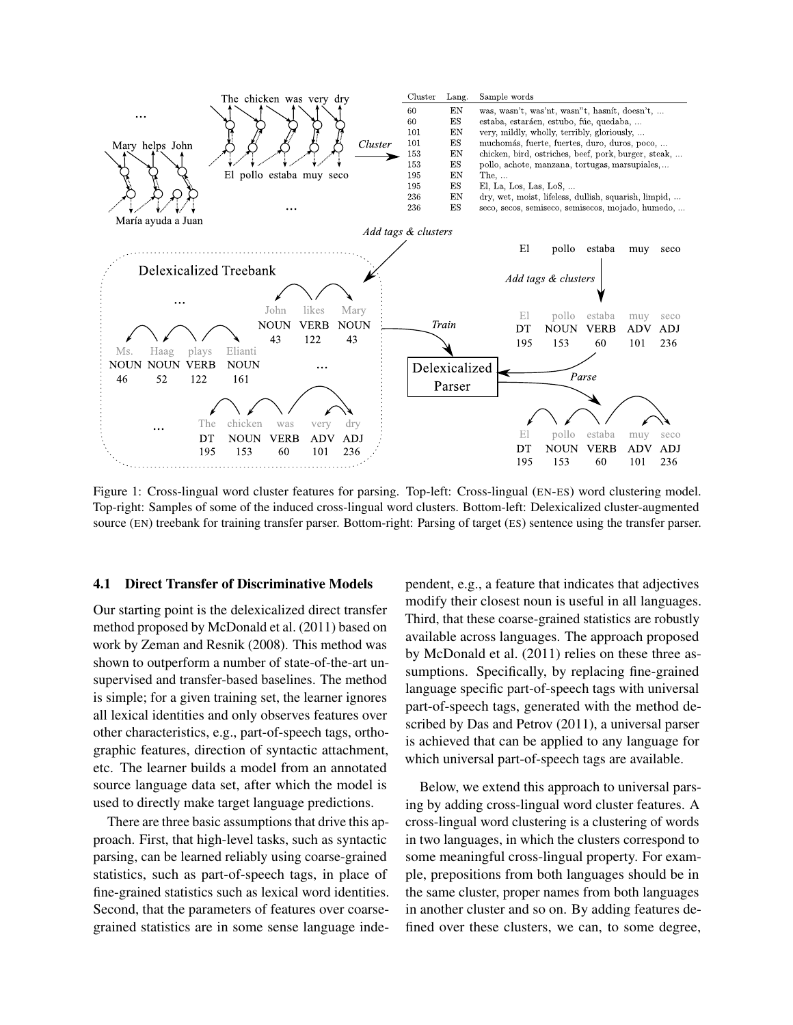

Figure 1: Cross-lingual word cluster features for parsing. Top-left: Cross-lingual (EN-ES) word clustering model. Top-right: Samples of some of the induced cross-lingual word clusters. Bottom-left: Delexicalized cluster-augmented source (EN) treebank for training transfer parser. Bottom-right: Parsing of target (ES) sentence using the transfer parser.

### 4.1 Direct Transfer of Discriminative Models

Our starting point is the delexicalized direct transfer method proposed by McDonald et al. (2011) based on work by Zeman and Resnik (2008). This method was shown to outperform a number of state-of-the-art unsupervised and transfer-based baselines. The method is simple; for a given training set, the learner ignores all lexical identities and only observes features over other characteristics, e.g., part-of-speech tags, orthographic features, direction of syntactic attachment, etc. The learner builds a model from an annotated source language data set, after which the model is used to directly make target language predictions.

There are three basic assumptions that drive this approach. First, that high-level tasks, such as syntactic parsing, can be learned reliably using coarse-grained statistics, such as part-of-speech tags, in place of fine-grained statistics such as lexical word identities. Second, that the parameters of features over coarsegrained statistics are in some sense language independent, e.g., a feature that indicates that adjectives modify their closest noun is useful in all languages. Third, that these coarse-grained statistics are robustly available across languages. The approach proposed by McDonald et al. (2011) relies on these three assumptions. Specifically, by replacing fine-grained language specific part-of-speech tags with universal part-of-speech tags, generated with the method described by Das and Petrov (2011), a universal parser is achieved that can be applied to any language for which universal part-of-speech tags are available.

Below, we extend this approach to universal parsing by adding cross-lingual word cluster features. A cross-lingual word clustering is a clustering of words in two languages, in which the clusters correspond to some meaningful cross-lingual property. For example, prepositions from both languages should be in the same cluster, proper names from both languages in another cluster and so on. By adding features defined over these clusters, we can, to some degree,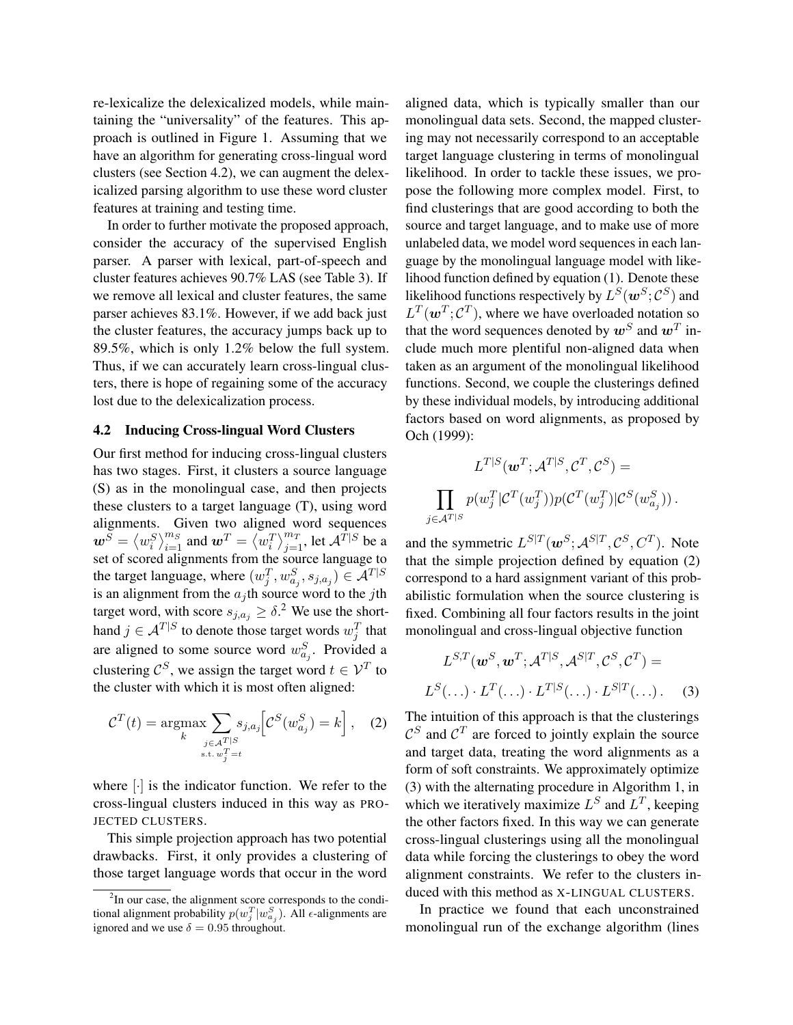re-lexicalize the delexicalized models, while maintaining the "universality" of the features. This approach is outlined in Figure 1. Assuming that we have an algorithm for generating cross-lingual word clusters (see Section 4.2), we can augment the delexicalized parsing algorithm to use these word cluster features at training and testing time.

In order to further motivate the proposed approach, consider the accuracy of the supervised English parser. A parser with lexical, part-of-speech and cluster features achieves 90.7% LAS (see Table 3). If we remove all lexical and cluster features, the same parser achieves 83.1%. However, if we add back just the cluster features, the accuracy jumps back up to 89.5%, which is only 1.2% below the full system. Thus, if we can accurately learn cross-lingual clusters, there is hope of regaining some of the accuracy lost due to the delexicalization process.

#### 4.2 Inducing Cross-lingual Word Clusters

Our first method for inducing cross-lingual clusters has two stages. First, it clusters a source language (S) as in the monolingual case, and then projects these clusters to a target language (T), using word alignments. Given two aligned word sequences  $\boldsymbol{w}^{\widetilde{S}} = \left\langle w^S_i \right\rangle_{i=1}^{m_S}$  and  $\boldsymbol{w}^T = \left\langle w^T_i \right\rangle_{j=1}^{m_T}$ , let  $\mathcal{A}^{\hat{T}|S}$  be a set of scored alignments from the source language to the target language, where  $(w_j^T, w_{a_j}^S, s_{j, a_j}) \in \mathcal{A}^{T|S}$ is an alignment from the  $a_j$ th source word to the jth target word, with score  $s_{j,a_j} \geq \delta$ <sup>2</sup> We use the shorthand  $j \in \mathcal{A}^{T|S}$  to denote those target words  $w_j^T$  that are aligned to some source word  $w_{a_j}^S$ . Provided a clustering  $\mathcal{C}^S$ , we assign the target word  $t \in \mathcal{V}^T$  to the cluster with which it is most often aligned:

$$
C^{T}(t) = \underset{k}{\operatorname{argmax}} \sum_{\substack{j \in \mathcal{A}^{T|S} \\ \text{s.t. } w_{j}^{T} = t}} s_{j,a_{j}} \left[ C^{S}(w_{a_{j}}^{S}) = k \right], \quad (2)
$$

where  $\lceil \cdot \rceil$  is the indicator function. We refer to the cross-lingual clusters induced in this way as PRO-JECTED CLUSTERS.

This simple projection approach has two potential drawbacks. First, it only provides a clustering of those target language words that occur in the word aligned data, which is typically smaller than our monolingual data sets. Second, the mapped clustering may not necessarily correspond to an acceptable target language clustering in terms of monolingual likelihood. In order to tackle these issues, we propose the following more complex model. First, to find clusterings that are good according to both the source and target language, and to make use of more unlabeled data, we model word sequences in each language by the monolingual language model with likelihood function defined by equation (1). Denote these likelihood functions respectively by  $L^S(w^S; \mathcal{C}^S)$  and  $L^T(\boldsymbol{w}^T;\mathcal{C}^T)$ , where we have overloaded notation so that the word sequences denoted by  $\boldsymbol{w}^S$  and  $\boldsymbol{w}^T$  include much more plentiful non-aligned data when taken as an argument of the monolingual likelihood functions. Second, we couple the clusterings defined by these individual models, by introducing additional factors based on word alignments, as proposed by Och (1999):

$$
L^{T|S}(\boldsymbol{w}^T;\mathcal{A}^{T|S},\mathcal{C}^T,\mathcal{C}^S) =
$$
  

$$
\prod_{j\in\mathcal{A}^{T|S}} p(w_j^T|\mathcal{C}^T(w_j^T))p(\mathcal{C}^T(w_j^T)|\mathcal{C}^S(w_{a_j}^S)).
$$

and the symmetric  $L^{S|T}$  ( $w^S$ ;  $\mathcal{A}^{S|T}$ ,  $\mathcal{C}^S$ ,  $C^T$ ). Note that the simple projection defined by equation (2) correspond to a hard assignment variant of this probabilistic formulation when the source clustering is fixed. Combining all four factors results in the joint monolingual and cross-lingual objective function

$$
L^{S,T}(\boldsymbol{w}^S, \boldsymbol{w}^T; \mathcal{A}^{T|S}, \mathcal{A}^{S|T}, \mathcal{C}^S, \mathcal{C}^T) =
$$
  

$$
L^S(\ldots) \cdot L^T(\ldots) \cdot L^{T|S}(\ldots) \cdot L^{S|T}(\ldots).
$$
 (3)

The intuition of this approach is that the clusterings  $\mathcal{C}^S$  and  $\mathcal{C}^T$  are forced to jointly explain the source and target data, treating the word alignments as a form of soft constraints. We approximately optimize (3) with the alternating procedure in Algorithm 1, in which we iteratively maximize  $L^S$  and  $L^T$ , keeping the other factors fixed. In this way we can generate cross-lingual clusterings using all the monolingual data while forcing the clusterings to obey the word alignment constraints. We refer to the clusters induced with this method as X-LINGUAL CLUSTERS.

In practice we found that each unconstrained monolingual run of the exchange algorithm (lines

<sup>&</sup>lt;sup>2</sup>In our case, the alignment score corresponds to the conditional alignment probability  $p(w_j^T|w_{a_j}^S)$ . All  $\epsilon$ -alignments are ignored and we use  $\delta = 0.95$  throughout.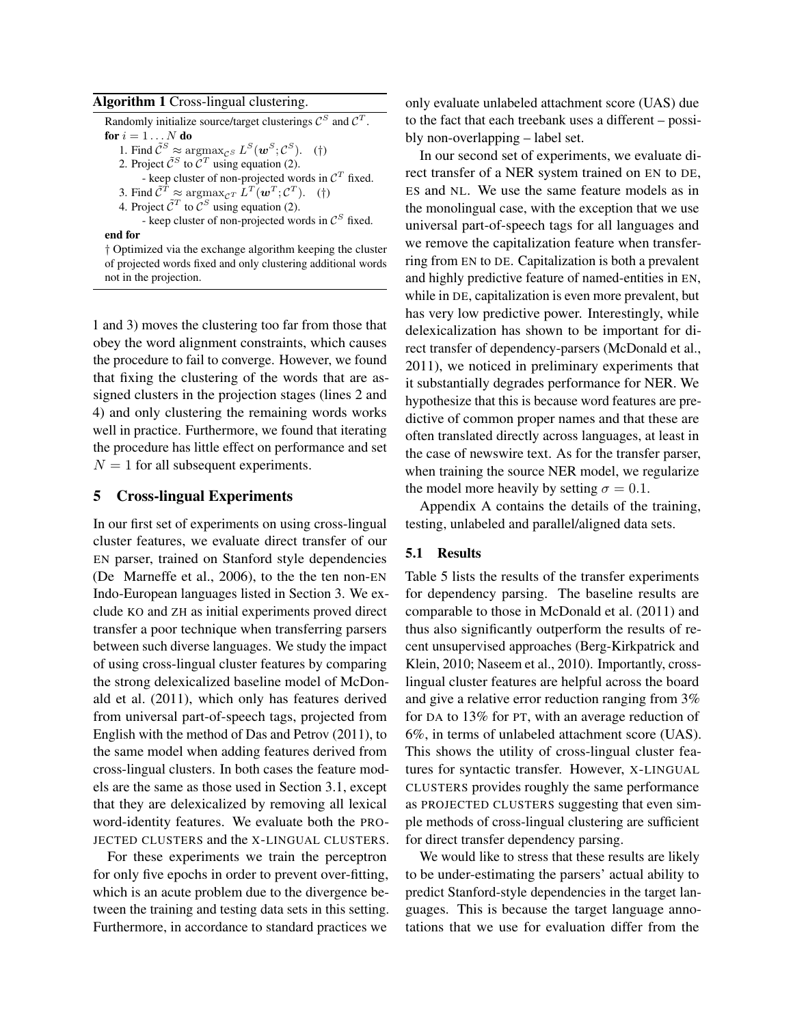#### Algorithm 1 Cross-lingual clustering.

Randomly initialize source/target clusterings  $\mathcal{C}^S$  and  $\mathcal{C}^T$ . for  $i=1\ldots N$  do 1. Find  $ilde{\mathcal{C}}^S \approx \operatorname{argmax}_{\mathcal{C}^S} L^S(\boldsymbol{w}^S; \mathcal{C}^S)$ . (†) 2. Project  $\tilde{C}^S$  to  $C^T$  using equation (2). - keep cluster of non-projected words in  $\mathcal{C}^T$  fixed. 3. Find  $\tilde{C}^T \approx \argmax_{\mathcal{C}^T} L^T(\boldsymbol{w}^T; \mathcal{C}^T)$ . (†) 4. Project  $\tilde{C}^T$  to  $\tilde{C}^S$  using equation (2). - keep cluster of non-projected words in  $\mathcal{C}^S$  fixed. end for

† Optimized via the exchange algorithm keeping the cluster of projected words fixed and only clustering additional words not in the projection.

1 and 3) moves the clustering too far from those that obey the word alignment constraints, which causes the procedure to fail to converge. However, we found that fixing the clustering of the words that are assigned clusters in the projection stages (lines 2 and 4) and only clustering the remaining words works well in practice. Furthermore, we found that iterating the procedure has little effect on performance and set  $N = 1$  for all subsequent experiments.

### 5 Cross-lingual Experiments

In our first set of experiments on using cross-lingual cluster features, we evaluate direct transfer of our EN parser, trained on Stanford style dependencies (De Marneffe et al., 2006), to the the ten non-EN Indo-European languages listed in Section 3. We exclude KO and ZH as initial experiments proved direct transfer a poor technique when transferring parsers between such diverse languages. We study the impact of using cross-lingual cluster features by comparing the strong delexicalized baseline model of McDonald et al. (2011), which only has features derived from universal part-of-speech tags, projected from English with the method of Das and Petrov (2011), to the same model when adding features derived from cross-lingual clusters. In both cases the feature models are the same as those used in Section 3.1, except that they are delexicalized by removing all lexical word-identity features. We evaluate both the PRO-JECTED CLUSTERS and the X-LINGUAL CLUSTERS.

For these experiments we train the perceptron for only five epochs in order to prevent over-fitting, which is an acute problem due to the divergence between the training and testing data sets in this setting. Furthermore, in accordance to standard practices we

only evaluate unlabeled attachment score (UAS) due to the fact that each treebank uses a different – possibly non-overlapping – label set.

In our second set of experiments, we evaluate direct transfer of a NER system trained on EN to DE, ES and NL. We use the same feature models as in the monolingual case, with the exception that we use universal part-of-speech tags for all languages and we remove the capitalization feature when transferring from EN to DE. Capitalization is both a prevalent and highly predictive feature of named-entities in EN, while in DE, capitalization is even more prevalent, but has very low predictive power. Interestingly, while delexicalization has shown to be important for direct transfer of dependency-parsers (McDonald et al., 2011), we noticed in preliminary experiments that it substantially degrades performance for NER. We hypothesize that this is because word features are predictive of common proper names and that these are often translated directly across languages, at least in the case of newswire text. As for the transfer parser, when training the source NER model, we regularize the model more heavily by setting  $\sigma = 0.1$ .

Appendix A contains the details of the training, testing, unlabeled and parallel/aligned data sets.

## 5.1 Results

Table 5 lists the results of the transfer experiments for dependency parsing. The baseline results are comparable to those in McDonald et al. (2011) and thus also significantly outperform the results of recent unsupervised approaches (Berg-Kirkpatrick and Klein, 2010; Naseem et al., 2010). Importantly, crosslingual cluster features are helpful across the board and give a relative error reduction ranging from 3% for DA to 13% for PT, with an average reduction of 6%, in terms of unlabeled attachment score (UAS). This shows the utility of cross-lingual cluster features for syntactic transfer. However, X-LINGUAL CLUSTERS provides roughly the same performance as PROJECTED CLUSTERS suggesting that even simple methods of cross-lingual clustering are sufficient for direct transfer dependency parsing.

We would like to stress that these results are likely to be under-estimating the parsers' actual ability to predict Stanford-style dependencies in the target languages. This is because the target language annotations that we use for evaluation differ from the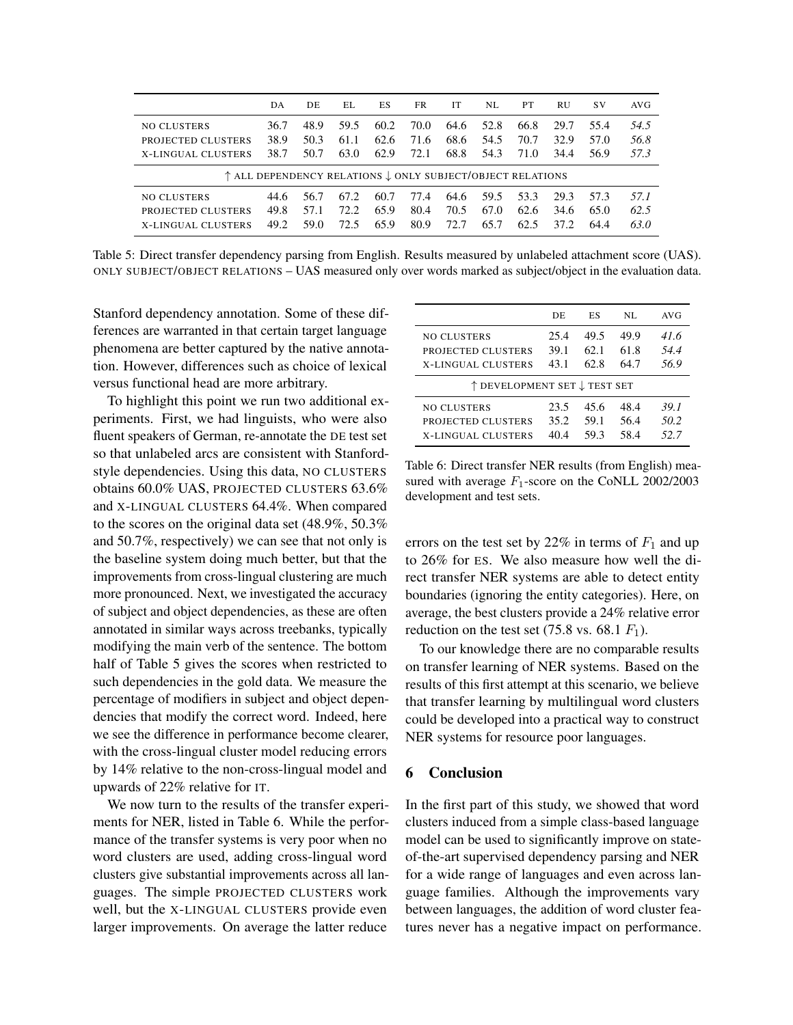|                                                            | DA   | DE   | EL.  | ES   | FR   | IТ   | NL   | PT   | <b>RU</b> | <b>SV</b> | AVG  |
|------------------------------------------------------------|------|------|------|------|------|------|------|------|-----------|-----------|------|
| <b>NO CLUSTERS</b>                                         | 36.7 | 48.9 | 59.5 | 60.2 | 70.0 | 64.6 | 52.8 | 66.8 | 29.7      | 55.4      | 54.5 |
| PROJECTED CLUSTERS                                         | 38.9 | 50.3 | 61.1 | 62.6 | 71.6 | 68.6 | 54.5 | 70.7 | 32.9      | 57.0      | 56.8 |
| <b>X-LINGUAL CLUSTERS</b>                                  | 38.7 | 50.7 | 63.0 | 62.9 | 72.1 | 68.8 | 54.3 | 71.0 | 34.4      | 56.9      | 57.3 |
| ↑ ALL DEPENDENCY RELATIONS ↓ ONLY SUBJECT/OBJECT RELATIONS |      |      |      |      |      |      |      |      |           |           |      |
| <b>NO CLUSTERS</b>                                         | 44.6 | 56.7 | 67.2 | 60.7 | 77.4 | 64.6 | 59.5 | 53.3 | 29.3      | 57.3      | 57.1 |
| PROJECTED CLUSTERS                                         | 49.8 | 57.1 | 72.2 | 65.9 | 80.4 | 70.5 | 67.0 | 62.6 | 34.6      | 65.0      | 62.5 |
| <b>X-LINGUAL CLUSTERS</b>                                  | 49.2 | 59.0 | 72.5 | 65.9 | 80.9 | 72.7 | 65.7 | 62.5 | 37.2      | 64.4      | 63.0 |

Table 5: Direct transfer dependency parsing from English. Results measured by unlabeled attachment score (UAS). ONLY SUBJECT/OBJECT RELATIONS – UAS measured only over words marked as subject/object in the evaluation data.

Stanford dependency annotation. Some of these differences are warranted in that certain target language phenomena are better captured by the native annotation. However, differences such as choice of lexical versus functional head are more arbitrary.

To highlight this point we run two additional experiments. First, we had linguists, who were also fluent speakers of German, re-annotate the DE test set so that unlabeled arcs are consistent with Stanfordstyle dependencies. Using this data, NO CLUSTERS obtains 60.0% UAS, PROJECTED CLUSTERS 63.6% and X-LINGUAL CLUSTERS 64.4%. When compared to the scores on the original data set (48.9%, 50.3% and 50.7%, respectively) we can see that not only is the baseline system doing much better, but that the improvements from cross-lingual clustering are much more pronounced. Next, we investigated the accuracy of subject and object dependencies, as these are often annotated in similar ways across treebanks, typically modifying the main verb of the sentence. The bottom half of Table 5 gives the scores when restricted to such dependencies in the gold data. We measure the percentage of modifiers in subject and object dependencies that modify the correct word. Indeed, here we see the difference in performance become clearer, with the cross-lingual cluster model reducing errors by 14% relative to the non-cross-lingual model and upwards of 22% relative for IT.

We now turn to the results of the transfer experiments for NER, listed in Table 6. While the performance of the transfer systems is very poor when no word clusters are used, adding cross-lingual word clusters give substantial improvements across all languages. The simple PROJECTED CLUSTERS work well, but the X-LINGUAL CLUSTERS provide even larger improvements. On average the latter reduce

|                              | DE   | ES   | NL   | AVG   |
|------------------------------|------|------|------|-------|
| <b>NO CLUSTERS</b>           | 25.4 | 49.5 | 49.9 | 41.6  |
| PROJECTED CLUSTERS           | 39.1 | 62.1 | 61.8 | 54.4  |
| <b>X-LINGUAL CLUSTERS</b>    | 43.1 | 62.8 | 64.7 | 56.9  |
| ↑ DEVELOPMENT SET ↓ TEST SET |      |      |      |       |
| <b>NO CLUSTERS</b>           | 23.5 | 45.6 | 48.4 | 39. I |
| PROJECTED CLUSTERS           | 35.2 | 59.1 | 56.4 | 50.2  |
| <b>X-LINGUAL CLUSTERS</b>    | 404  | 59.3 | 58.4 | 52.7  |

Table 6: Direct transfer NER results (from English) measured with average  $F_1$ -score on the CoNLL 2002/2003 development and test sets.

errors on the test set by 22% in terms of  $F_1$  and up to 26% for ES. We also measure how well the direct transfer NER systems are able to detect entity boundaries (ignoring the entity categories). Here, on average, the best clusters provide a 24% relative error reduction on the test set (75.8 vs. 68.1  $F_1$ ).

To our knowledge there are no comparable results on transfer learning of NER systems. Based on the results of this first attempt at this scenario, we believe that transfer learning by multilingual word clusters could be developed into a practical way to construct NER systems for resource poor languages.

### 6 Conclusion

In the first part of this study, we showed that word clusters induced from a simple class-based language model can be used to significantly improve on stateof-the-art supervised dependency parsing and NER for a wide range of languages and even across language families. Although the improvements vary between languages, the addition of word cluster features never has a negative impact on performance.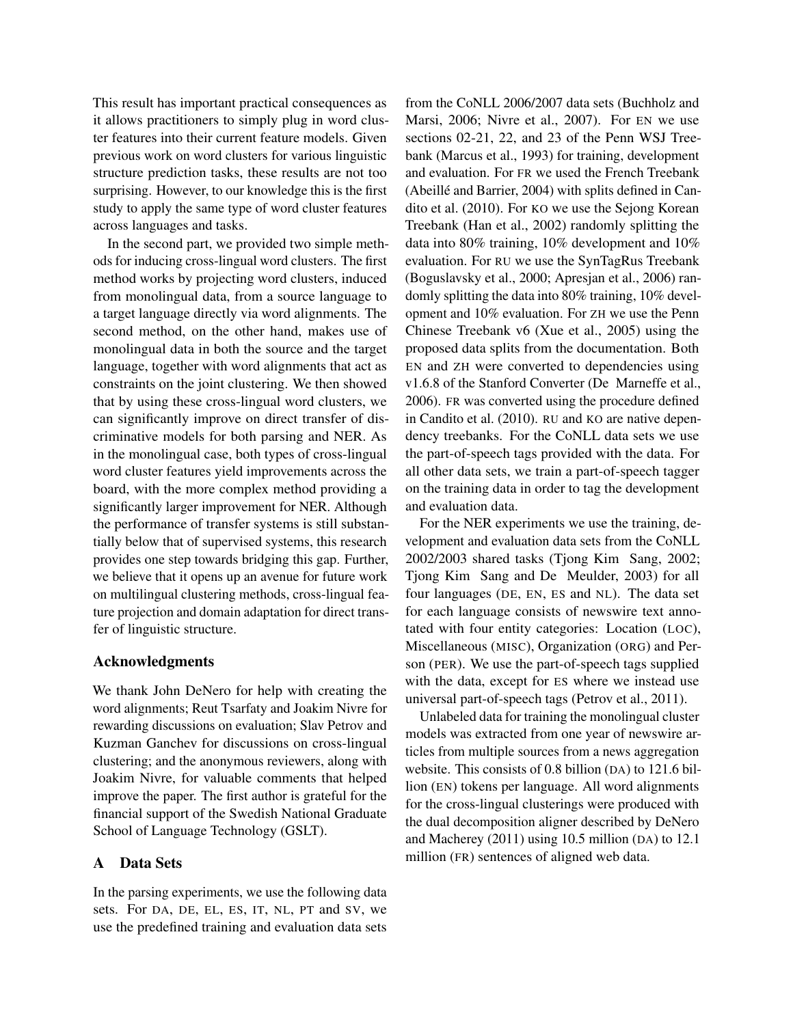This result has important practical consequences as it allows practitioners to simply plug in word cluster features into their current feature models. Given previous work on word clusters for various linguistic structure prediction tasks, these results are not too surprising. However, to our knowledge this is the first study to apply the same type of word cluster features across languages and tasks.

In the second part, we provided two simple methods for inducing cross-lingual word clusters. The first method works by projecting word clusters, induced from monolingual data, from a source language to a target language directly via word alignments. The second method, on the other hand, makes use of monolingual data in both the source and the target language, together with word alignments that act as constraints on the joint clustering. We then showed that by using these cross-lingual word clusters, we can significantly improve on direct transfer of discriminative models for both parsing and NER. As in the monolingual case, both types of cross-lingual word cluster features yield improvements across the board, with the more complex method providing a significantly larger improvement for NER. Although the performance of transfer systems is still substantially below that of supervised systems, this research provides one step towards bridging this gap. Further, we believe that it opens up an avenue for future work on multilingual clustering methods, cross-lingual feature projection and domain adaptation for direct transfer of linguistic structure.

## Acknowledgments

We thank John DeNero for help with creating the word alignments; Reut Tsarfaty and Joakim Nivre for rewarding discussions on evaluation; Slav Petrov and Kuzman Ganchev for discussions on cross-lingual clustering; and the anonymous reviewers, along with Joakim Nivre, for valuable comments that helped improve the paper. The first author is grateful for the financial support of the Swedish National Graduate School of Language Technology (GSLT).

## A Data Sets

In the parsing experiments, we use the following data sets. For DA, DE, EL, ES, IT, NL, PT and SV, we use the predefined training and evaluation data sets from the CoNLL 2006/2007 data sets (Buchholz and Marsi, 2006; Nivre et al., 2007). For EN we use sections 02-21, 22, and 23 of the Penn WSJ Treebank (Marcus et al., 1993) for training, development and evaluation. For FR we used the French Treebank (Abeillé and Barrier, 2004) with splits defined in Candito et al. (2010). For KO we use the Sejong Korean Treebank (Han et al., 2002) randomly splitting the data into 80% training, 10% development and 10% evaluation. For RU we use the SynTagRus Treebank (Boguslavsky et al., 2000; Apresjan et al., 2006) randomly splitting the data into 80% training, 10% development and 10% evaluation. For ZH we use the Penn Chinese Treebank v6 (Xue et al., 2005) using the proposed data splits from the documentation. Both EN and ZH were converted to dependencies using v1.6.8 of the Stanford Converter (De Marneffe et al., 2006). FR was converted using the procedure defined in Candito et al. (2010). RU and KO are native dependency treebanks. For the CoNLL data sets we use the part-of-speech tags provided with the data. For all other data sets, we train a part-of-speech tagger on the training data in order to tag the development and evaluation data.

For the NER experiments we use the training, development and evaluation data sets from the CoNLL 2002/2003 shared tasks (Tjong Kim Sang, 2002; Tjong Kim Sang and De Meulder, 2003) for all four languages (DE, EN, ES and NL). The data set for each language consists of newswire text annotated with four entity categories: Location (LOC), Miscellaneous (MISC), Organization (ORG) and Person (PER). We use the part-of-speech tags supplied with the data, except for ES where we instead use universal part-of-speech tags (Petrov et al., 2011).

Unlabeled data for training the monolingual cluster models was extracted from one year of newswire articles from multiple sources from a news aggregation website. This consists of 0.8 billion (DA) to 121.6 billion (EN) tokens per language. All word alignments for the cross-lingual clusterings were produced with the dual decomposition aligner described by DeNero and Macherey (2011) using 10.5 million (DA) to 12.1 million (FR) sentences of aligned web data.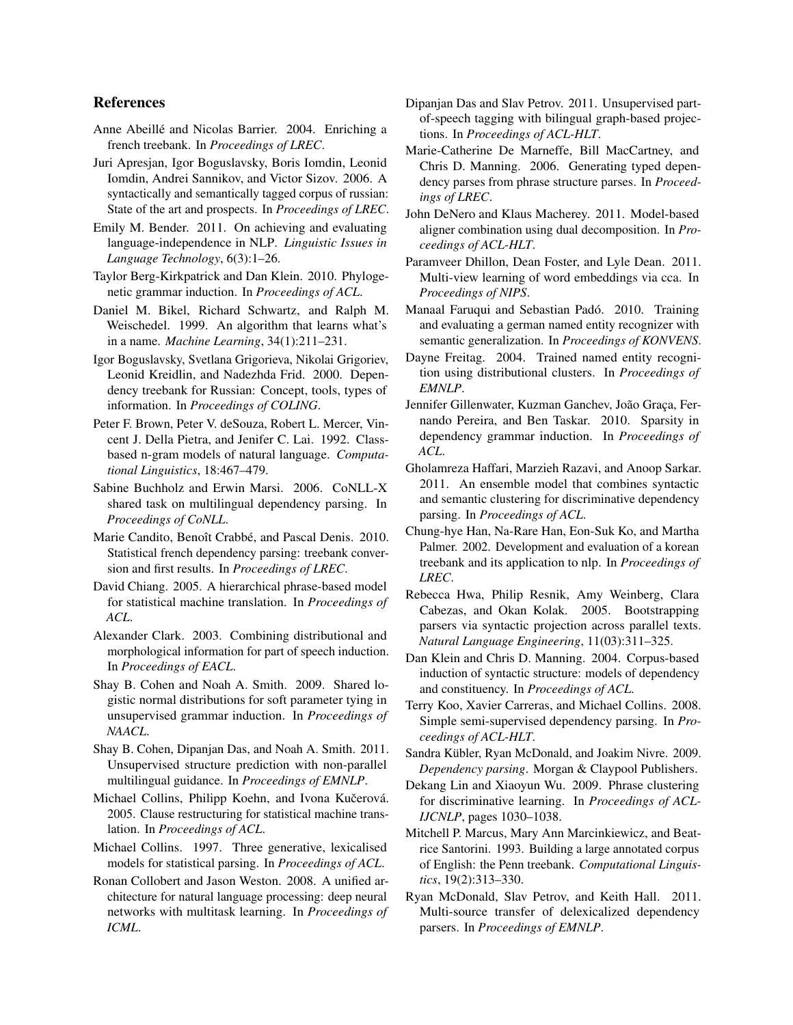## References

- Anne Abeillé and Nicolas Barrier. 2004. Enriching a french treebank. In *Proceedings of LREC*.
- Juri Apresjan, Igor Boguslavsky, Boris Iomdin, Leonid Iomdin, Andrei Sannikov, and Victor Sizov. 2006. A syntactically and semantically tagged corpus of russian: State of the art and prospects. In *Proceedings of LREC*.
- Emily M. Bender. 2011. On achieving and evaluating language-independence in NLP. *Linguistic Issues in Language Technology*, 6(3):1–26.
- Taylor Berg-Kirkpatrick and Dan Klein. 2010. Phylogenetic grammar induction. In *Proceedings of ACL*.
- Daniel M. Bikel, Richard Schwartz, and Ralph M. Weischedel. 1999. An algorithm that learns what's in a name. *Machine Learning*, 34(1):211–231.
- Igor Boguslavsky, Svetlana Grigorieva, Nikolai Grigoriev, Leonid Kreidlin, and Nadezhda Frid. 2000. Dependency treebank for Russian: Concept, tools, types of information. In *Proceedings of COLING*.
- Peter F. Brown, Peter V. deSouza, Robert L. Mercer, Vincent J. Della Pietra, and Jenifer C. Lai. 1992. Classbased n-gram models of natural language. *Computational Linguistics*, 18:467–479.
- Sabine Buchholz and Erwin Marsi. 2006. CoNLL-X shared task on multilingual dependency parsing. In *Proceedings of CoNLL*.
- Marie Candito, Benoît Crabbé, and Pascal Denis. 2010. Statistical french dependency parsing: treebank conversion and first results. In *Proceedings of LREC*.
- David Chiang. 2005. A hierarchical phrase-based model for statistical machine translation. In *Proceedings of ACL*.
- Alexander Clark. 2003. Combining distributional and morphological information for part of speech induction. In *Proceedings of EACL*.
- Shay B. Cohen and Noah A. Smith. 2009. Shared logistic normal distributions for soft parameter tying in unsupervised grammar induction. In *Proceedings of NAACL*.
- Shay B. Cohen, Dipanjan Das, and Noah A. Smith. 2011. Unsupervised structure prediction with non-parallel multilingual guidance. In *Proceedings of EMNLP*.
- Michael Collins, Philipp Koehn, and Ivona Kučerová. 2005. Clause restructuring for statistical machine translation. In *Proceedings of ACL*.
- Michael Collins. 1997. Three generative, lexicalised models for statistical parsing. In *Proceedings of ACL*.
- Ronan Collobert and Jason Weston. 2008. A unified architecture for natural language processing: deep neural networks with multitask learning. In *Proceedings of ICML*.
- Dipanjan Das and Slav Petrov. 2011. Unsupervised partof-speech tagging with bilingual graph-based projections. In *Proceedings of ACL-HLT*.
- Marie-Catherine De Marneffe, Bill MacCartney, and Chris D. Manning. 2006. Generating typed dependency parses from phrase structure parses. In *Proceedings of LREC*.
- John DeNero and Klaus Macherey. 2011. Model-based aligner combination using dual decomposition. In *Proceedings of ACL-HLT*.
- Paramveer Dhillon, Dean Foster, and Lyle Dean. 2011. Multi-view learning of word embeddings via cca. In *Proceedings of NIPS*.
- Manaal Faruqui and Sebastian Padó. 2010. Training and evaluating a german named entity recognizer with semantic generalization. In *Proceedings of KONVENS*.
- Dayne Freitag. 2004. Trained named entity recognition using distributional clusters. In *Proceedings of EMNLP*.
- Jennifer Gillenwater, Kuzman Ganchev, João Graça, Fernando Pereira, and Ben Taskar. 2010. Sparsity in dependency grammar induction. In *Proceedings of ACL*.
- Gholamreza Haffari, Marzieh Razavi, and Anoop Sarkar. 2011. An ensemble model that combines syntactic and semantic clustering for discriminative dependency parsing. In *Proceedings of ACL*.
- Chung-hye Han, Na-Rare Han, Eon-Suk Ko, and Martha Palmer. 2002. Development and evaluation of a korean treebank and its application to nlp. In *Proceedings of LREC*.
- Rebecca Hwa, Philip Resnik, Amy Weinberg, Clara Cabezas, and Okan Kolak. 2005. Bootstrapping parsers via syntactic projection across parallel texts. *Natural Language Engineering*, 11(03):311–325.
- Dan Klein and Chris D. Manning. 2004. Corpus-based induction of syntactic structure: models of dependency and constituency. In *Proceedings of ACL*.
- Terry Koo, Xavier Carreras, and Michael Collins. 2008. Simple semi-supervised dependency parsing. In *Proceedings of ACL-HLT*.
- Sandra Kübler, Ryan McDonald, and Joakim Nivre. 2009. *Dependency parsing*. Morgan & Claypool Publishers.
- Dekang Lin and Xiaoyun Wu. 2009. Phrase clustering for discriminative learning. In *Proceedings of ACL-IJCNLP*, pages 1030–1038.
- Mitchell P. Marcus, Mary Ann Marcinkiewicz, and Beatrice Santorini. 1993. Building a large annotated corpus of English: the Penn treebank. *Computational Linguistics*, 19(2):313–330.
- Ryan McDonald, Slav Petrov, and Keith Hall. 2011. Multi-source transfer of delexicalized dependency parsers. In *Proceedings of EMNLP*.